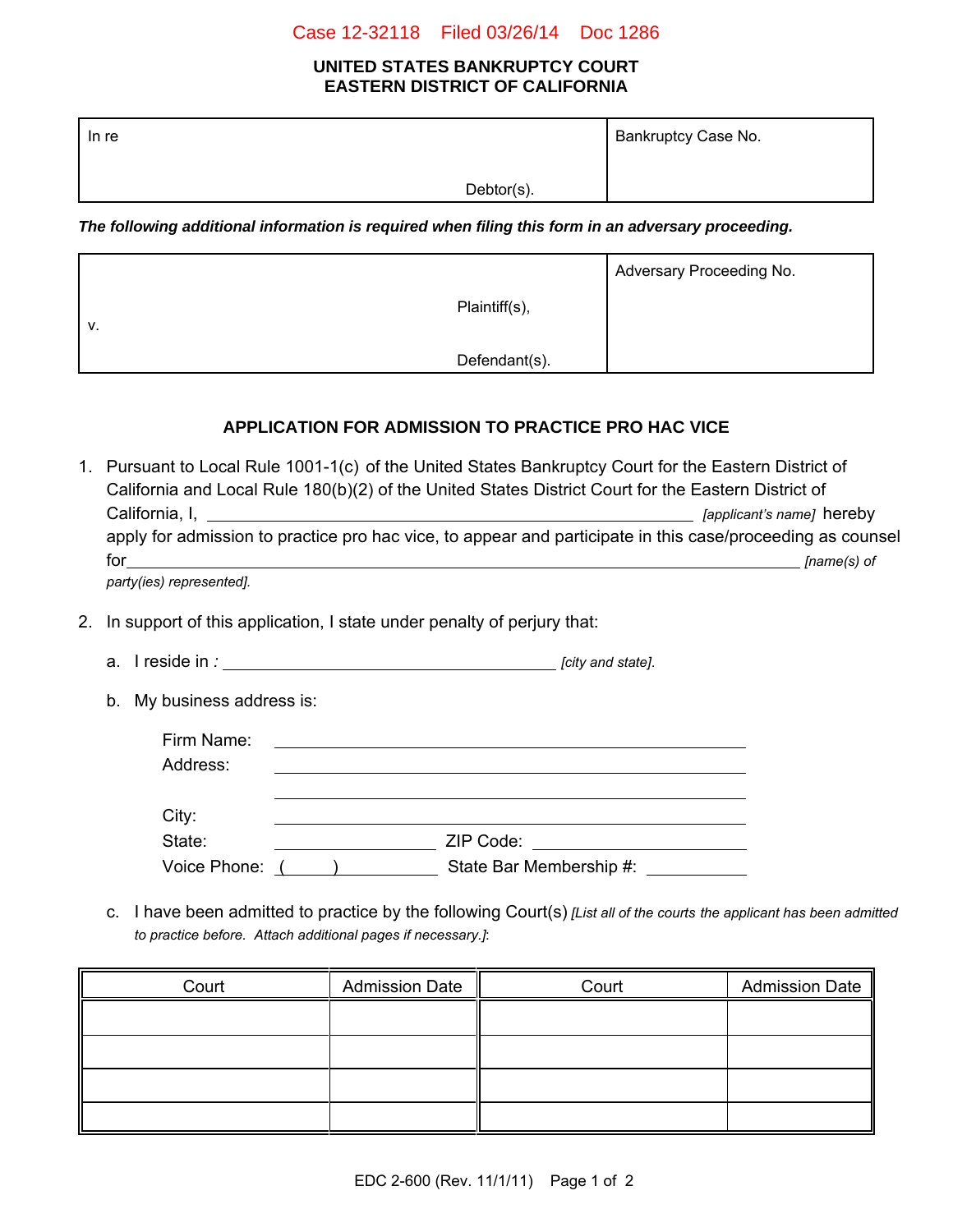#### Case 12-32118 Filed 03/26/14 Doc 1286

#### **UNITED STATES BANKRUPTCY COURT EASTERN DISTRICT OF CALIFORNIA**

| In re |            | Bankruptcy Case No. |  |
|-------|------------|---------------------|--|
|       | Debtor(s). |                     |  |

*The following additional information is required when filing this form in an adversary proceeding.*

|    |               | Adversary Proceeding No. |
|----|---------------|--------------------------|
| V. | Plaintiff(s), |                          |
|    | Defendant(s). |                          |

## **APPLICATION FOR ADMISSION TO PRACTICE PRO HAC VICE**

| 1. | Pursuant to Local Rule 1001-1(c) of the United States Bankruptcy Court for the Eastern District of<br>California and Local Rule 180(b)(2) of the United States District Court for the Eastern District of<br>[applicant's name] hereby |                                                                                                                                                                                                                                |               |  |
|----|----------------------------------------------------------------------------------------------------------------------------------------------------------------------------------------------------------------------------------------|--------------------------------------------------------------------------------------------------------------------------------------------------------------------------------------------------------------------------------|---------------|--|
|    |                                                                                                                                                                                                                                        | apply for admission to practice pro hac vice, to appear and participate in this case/proceeding as counsel                                                                                                                     |               |  |
|    | for the contract of the contract of the contract of the contract of the contract of the contract of the contract of the contract of the contract of the contract of the contract of the contract of the contract of the contra         | and the control of the control of the control of the control of the control of the control of the control of the                                                                                                               | $[name(s)$ of |  |
|    | party(ies) represented].                                                                                                                                                                                                               |                                                                                                                                                                                                                                |               |  |
| 2. | In support of this application, I state under penalty of perjury that:                                                                                                                                                                 |                                                                                                                                                                                                                                |               |  |
|    |                                                                                                                                                                                                                                        |                                                                                                                                                                                                                                |               |  |
|    | My business address is:<br>b.                                                                                                                                                                                                          |                                                                                                                                                                                                                                |               |  |
|    | Firm Name:                                                                                                                                                                                                                             |                                                                                                                                                                                                                                |               |  |
|    | Address:                                                                                                                                                                                                                               |                                                                                                                                                                                                                                |               |  |
|    |                                                                                                                                                                                                                                        |                                                                                                                                                                                                                                |               |  |
|    | City:                                                                                                                                                                                                                                  |                                                                                                                                                                                                                                |               |  |
|    | State:                                                                                                                                                                                                                                 | ZIP Code: All and the contract of the contract of the contract of the contract of the contract of the contract of the contract of the contract of the contract of the contract of the contract of the contract of the contract |               |  |

c. I have been admitted to practice by the following Court(s) *[List all of the courts the applicant has been admitted to practice before. Attach additional pages if necessary.]*:

| Court | <b>Admission Date</b> | Court | <b>Admission Date</b> |
|-------|-----------------------|-------|-----------------------|
|       |                       |       |                       |
|       |                       |       |                       |
|       |                       |       |                       |
|       |                       |       |                       |

Voice Phone: ( ) State Bar Membership #: \_\_\_\_\_\_\_\_\_\_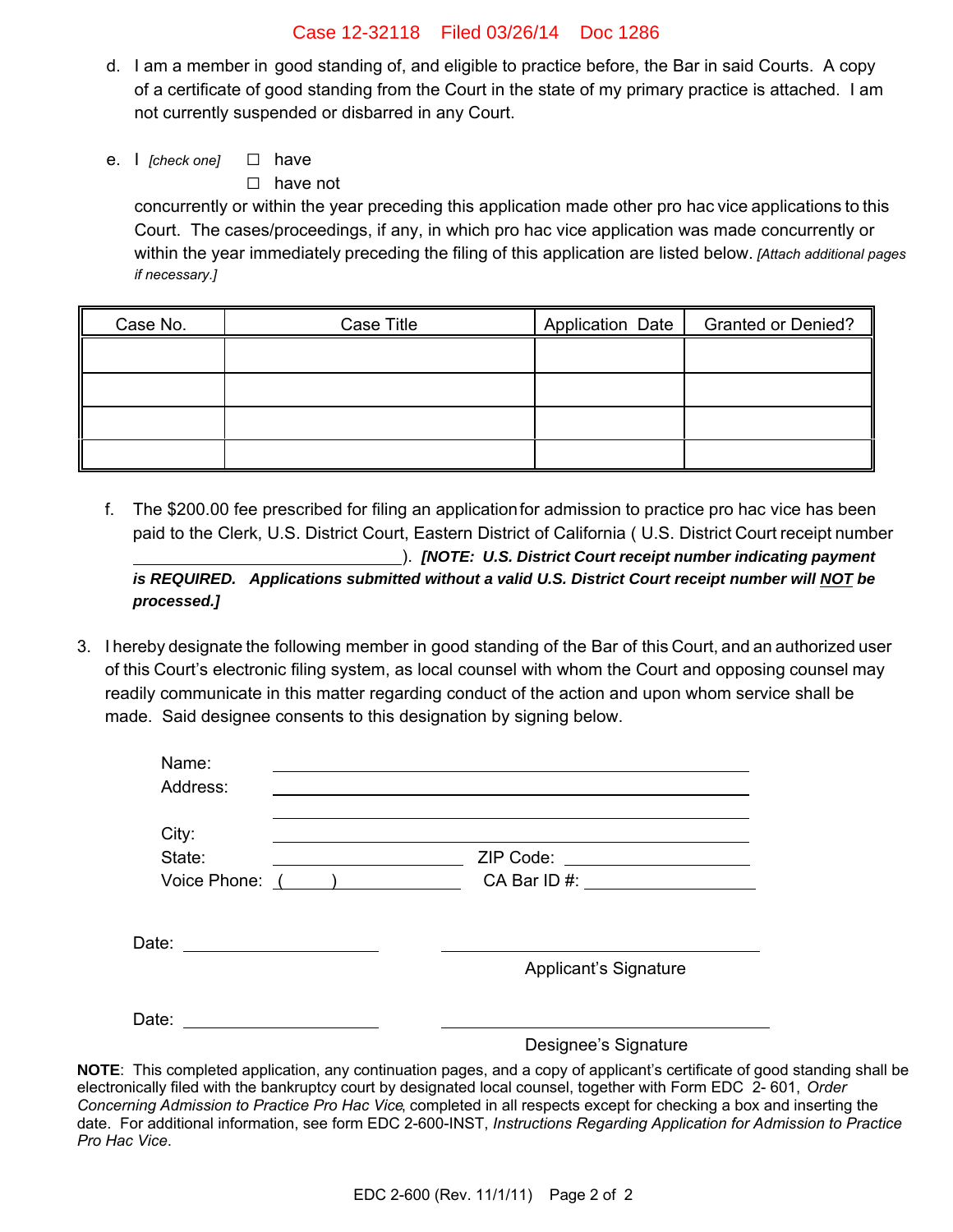### Case 12-32118 Filed 03/26/14 Doc 1286

- d. I am a member in good standing of, and eligible to practice before, the Bar in said Courts. A copy of a certificate of good standing from the Court in the state of my primary practice is attached. I am not currently suspended or disbarred in any Court.
- e. I *[check one]* □ have

 $\Box$  have not

concurrently or within the year preceding this application made other pro hac vice applications to this Court. The cases/proceedings, if any, in which pro hac vice application was made concurrently or within the year immediately preceding the filing of this application are listed below. *[Attach additional pages if necessary.]*

| Case No. | Case Title | Application Date   Granted or Denied? |
|----------|------------|---------------------------------------|
|          |            |                                       |
|          |            |                                       |
|          |            |                                       |
|          |            |                                       |

- f. The \$200.00 fee prescribed for filing an application for admission to practice pro hac vice has been paid to the Clerk, U.S. District Court, Eastern District of California ( U.S. District Court receipt number ). *[NOTE: U.S. District Court receipt number indicating payment is REQUIRED. Applications submitted without a valid U.S. District Court receipt number will NOT be processed.]*
- 3. I hereby designate the following member in good standing of the Bar of this Court, and an authorized user of this Court's electronic filing system, as local counsel with whom the Court and opposing counsel may readily communicate in this matter regarding conduct of the action and upon whom service shall be made. Said designee consents to this designation by signing below.

| Name:<br>Address:             |                                 |
|-------------------------------|---------------------------------|
| City:                         |                                 |
| State:                        | ZIP Code: _____________________ |
| Voice Phone: ( )              |                                 |
| Date: _______________________ | Applicant's Signature           |
| Date:                         | Designee's Signature            |

**NOTE**: This completed application, any continuation pages, and a copy of applicant's certificate of good standing shall be electronically filed with the bankruptcy court by designated local counsel, together with Form EDC 2- 601, *Order Concerning Admission to Practice Pro Hac Vice*, completed in all respects except for checking a box and inserting the date. For additional information, see form EDC 2-600-INST, *Instructions Regarding Application for Admission to Practice Pro Hac Vice*.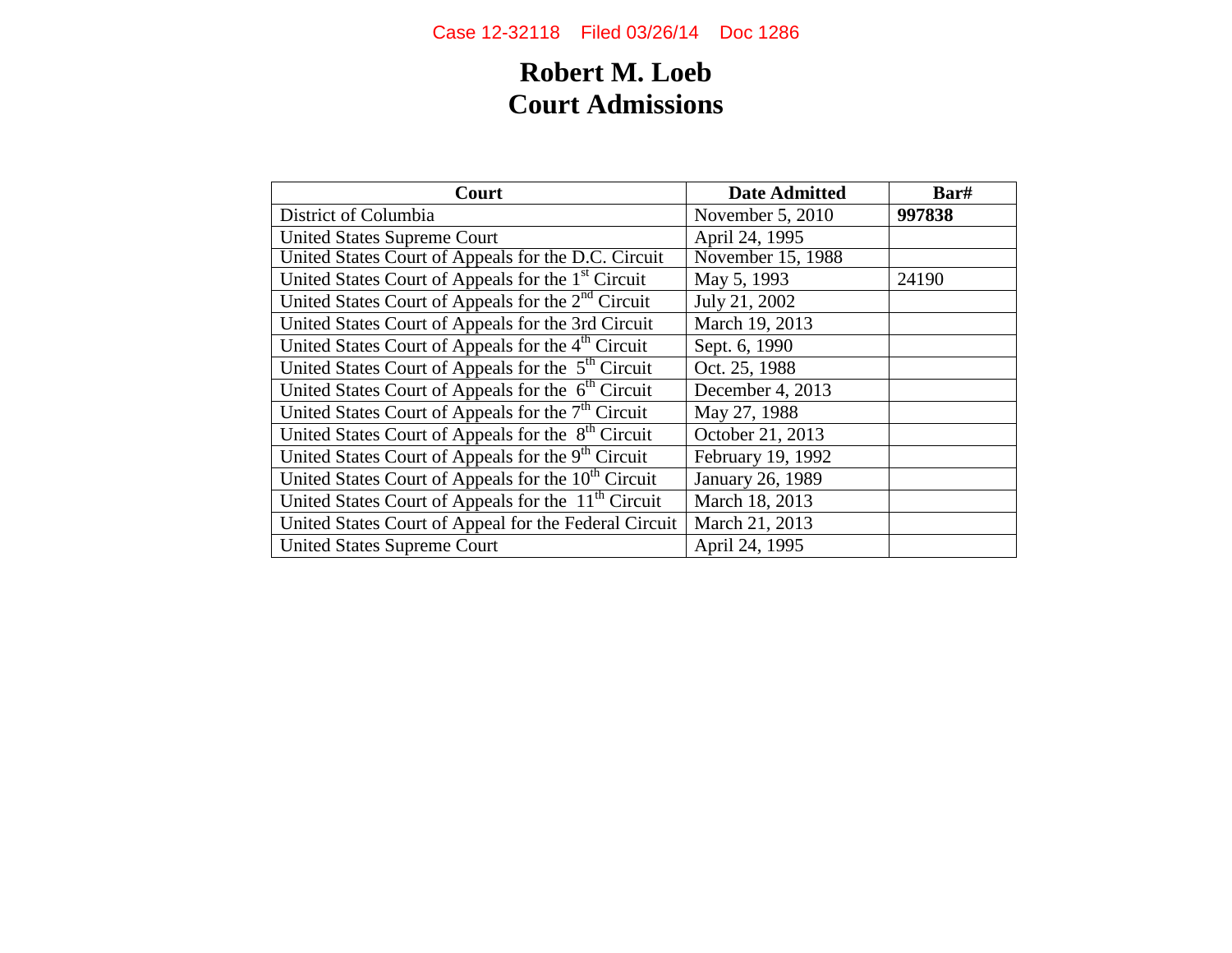# **Robert M. Loeb Court Admissions**

| Court                                                           | <b>Date Admitted</b> | Bar#   |
|-----------------------------------------------------------------|----------------------|--------|
| District of Columbia                                            | November 5, 2010     | 997838 |
| <b>United States Supreme Court</b>                              | April 24, 1995       |        |
| United States Court of Appeals for the D.C. Circuit             | November 15, 1988    |        |
| United States Court of Appeals for the 1 <sup>st</sup> Circuit  | May 5, 1993          | 24190  |
| United States Court of Appeals for the 2 <sup>nd</sup> Circuit  | July 21, 2002        |        |
| United States Court of Appeals for the 3rd Circuit              | March 19, 2013       |        |
| United States Court of Appeals for the 4 <sup>th</sup> Circuit  | Sept. 6, 1990        |        |
| United States Court of Appeals for the 5 <sup>th</sup> Circuit  | Oct. 25, 1988        |        |
| United States Court of Appeals for the 6 <sup>th</sup> Circuit  | December 4, 2013     |        |
| United States Court of Appeals for the 7 <sup>th</sup> Circuit  | May 27, 1988         |        |
| United States Court of Appeals for the 8 <sup>th</sup> Circuit  | October 21, 2013     |        |
| United States Court of Appeals for the 9 <sup>th</sup> Circuit  | February 19, 1992    |        |
| United States Court of Appeals for the 10 <sup>th</sup> Circuit | January 26, 1989     |        |
| United States Court of Appeals for the 11 <sup>th</sup> Circuit | March 18, 2013       |        |
| United States Court of Appeal for the Federal Circuit           | March 21, 2013       |        |
| <b>United States Supreme Court</b>                              | April 24, 1995       |        |